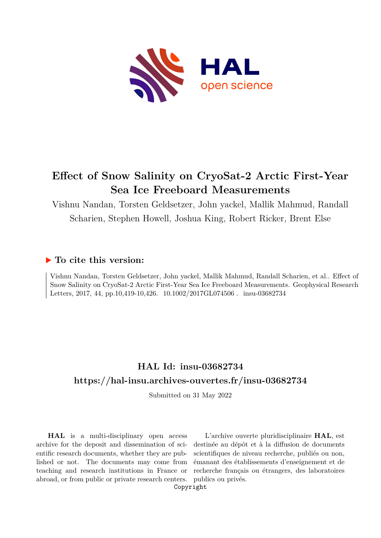

# **Effect of Snow Salinity on CryoSat-2 Arctic First-Year Sea Ice Freeboard Measurements**

Vishnu Nandan, Torsten Geldsetzer, John yackel, Mallik Mahmud, Randall Scharien, Stephen Howell, Joshua King, Robert Ricker, Brent Else

## **To cite this version:**

Vishnu Nandan, Torsten Geldsetzer, John yackel, Mallik Mahmud, Randall Scharien, et al.. Effect of Snow Salinity on CryoSat-2 Arctic First-Year Sea Ice Freeboard Measurements. Geophysical Research Letters, 2017, 44, pp.10,419-10,426. 10.1002/2017GL074506. insu-03682734

# **HAL Id: insu-03682734 <https://hal-insu.archives-ouvertes.fr/insu-03682734>**

Submitted on 31 May 2022

**HAL** is a multi-disciplinary open access archive for the deposit and dissemination of scientific research documents, whether they are published or not. The documents may come from teaching and research institutions in France or abroad, or from public or private research centers.

L'archive ouverte pluridisciplinaire **HAL**, est destinée au dépôt et à la diffusion de documents scientifiques de niveau recherche, publiés ou non, émanant des établissements d'enseignement et de recherche français ou étrangers, des laboratoires publics ou privés.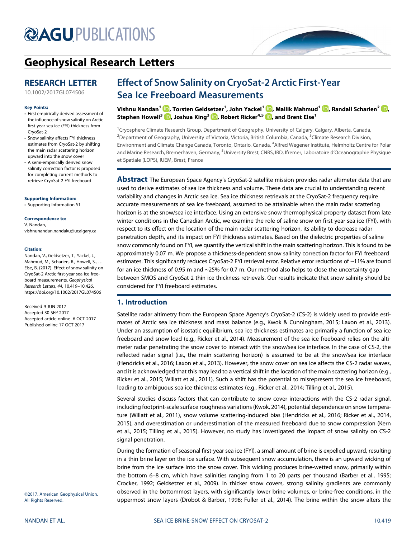# **@AGU[PUBLICATIONS](http://publications.agu.org/journals/)**



# [Geophysical Research Letters](http://onlinelibrary.wiley.com/journal/10.1002/(ISSN)1944-8007)

### RESEARCH LETTER

[10.1002/2017GL074506](http://dx.doi.org/10.1002/2017GL074506)

#### Key Points:

- First empirically derived assessment of the influence of snow salinity on Arctic first-year sea ice (FYI) thickness from CryoSat-2
- Snow salinity affects FYI thickness estimates from CryoSat-2 by shifting the main radar scattering horizon upward into the snow cover
- A semi-empirically derived snow salinity correction factor is proposed for completing current methods to retrieve CryoSat-2 FYI freeboard

#### [Supporting Information:](http://dx.doi.org/10.1002/2017GL074506)

[•](http://dx.doi.org/10.1002/2017GL074506) [Supporting Information S1](http://dx.doi.org/10.1002/2017GL074506)

#### Correspondence to:

V. Nandan, [vishnunandan.nandaku@ucalgary.ca](mailto:vishnunandan.nandaku@ucalgary.ca)

#### Citation:

Nandan, V., Geldsetzer, T., Yackel, J., Mahmud, M., Scharien, R., Howell, S., … Else, B. (2017). Effect of snow salinity on CryoSat-2 Arctic first-year sea ice freeboard measurements. Geophysical Research Letters, 44, 10,419–10,426. <https://doi.org/10.1002/2017GL074506>

Received 9 JUN 2017 Accepted 30 SEP 2017 Accepted article online 6 OCT 2017 Published online 17 OCT 2017

©2017. American Geophysical Union. All Rights Reserved.

## Effect of Snow Salinity on CryoSat-2 Arctic First-Year Sea Ice Freeboard Measurements

Vishnu Nandan<sup>1</sup> [,](http://orcid.org/0000-0002-5133-2676) Torsten Geldsetzer<sup>1</sup> , John Yackel<sup>1</sup> , Mallik Mahmud<sup>1</sup> [,](http://orcid.org/0000-0002-6874-9048) Randall Scharien<sup>2</sup> [,](http://orcid.org/0000-0002-2761-4809) Stephen Howell<sup>3</sup>  $\mathbf{D}$ , Joshua King<sup>3</sup>  $\mathbf{D}$ , Robert Ricker<sup>4,5</sup>  $\mathbf{D}$ , and Brent Else<sup>1</sup>

<sup>1</sup> Cryosphere Climate Research Group, Department of Geography, University of Calgary, Calgary, Alberta, Canada, <sup>2</sup>Department of Geography, University of Victoria, Victoria, British Columbia, Canada, <sup>3</sup>Climate Research Division, Environment and Climate Change Canada, Toronto, Ontario, Canada, <sup>4</sup>Alfred Wegener Institute, Helmholtz Centre for Polar and Marine Research, Bremerhaven, Germany, <sup>5</sup>University Brest, CNRS, IRD, Ifremer, Laboratoire d'Oceanographie Physique et Spatiale (LOPS), IUEM, Brest, France

Abstract The European Space Agency's CryoSat-2 satellite mission provides radar altimeter data that are used to derive estimates of sea ice thickness and volume. These data are crucial to understanding recent variability and changes in Arctic sea ice. Sea ice thickness retrievals at the CryoSat-2 frequency require accurate measurements of sea ice freeboard, assumed to be attainable when the main radar scattering horizon is at the snow/sea ice interface. Using an extensive snow thermophysical property dataset from late winter conditions in the Canadian Arctic, we examine the role of saline snow on first-year sea ice (FYI), with respect to its effect on the location of the main radar scattering horizon, its ability to decrease radar penetration depth, and its impact on FYI thickness estimates. Based on the dielectric properties of saline snow commonly found on FYI, we quantify the vertical shift in the main scattering horizon. This is found to be approximately 0.07 m. We propose a thickness-dependent snow salinity correction factor for FYI freeboard estimates. This significantly reduces CryoSat-2 FYI retrieval error. Relative error reductions of ~11% are found for an ice thickness of 0.95 m and ~25% for 0.7 m. Our method also helps to close the uncertainty gap between SMOS and CryoSat-2 thin ice thickness retrievals. Our results indicate that snow salinity should be considered for FYI freeboard estimates.

#### 1. Introduction

Satellite radar altimetry from the European Space Agency's CryoSat-2 (CS-2) is widely used to provide estimates of Arctic sea ice thickness and mass balance (e.g., Kwok & Cunningham, 2015; Laxon et al., 2013). Under an assumption of isostatic equilibrium, sea ice thickness estimates are primarily a function of sea ice freeboard and snow load (e.g., Ricker et al., 2014). Measurement of the sea ice freeboard relies on the altimeter radar penetrating the snow cover to interact with the snow/sea ice interface. In the case of CS-2, the reflected radar signal (i.e., the main scattering horizon) is assumed to be at the snow/sea ice interface (Hendricks et al., 2016; Laxon et al., 2013). However, the snow cover on sea ice affects the CS-2 radar waves, and it is acknowledged that this may lead to a vertical shift in the location of the main scattering horizon (e.g., Ricker et al., 2015; Willatt et al., 2011). Such a shift has the potential to misrepresent the sea ice freeboard, leading to ambiguous sea ice thickness estimates (e.g., Ricker et al., 2014; Tilling et al., 2015).

Several studies discuss factors that can contribute to snow cover interactions with the CS-2 radar signal, including footprint-scale surface roughness variations (Kwok, 2014), potential dependence on snow temperature (Willatt et al., 2011), snow volume scattering-induced bias (Hendricks et al., 2016; Ricker et al., 2014, 2015), and overestimation or underestimation of the measured freeboard due to snow compression (Kern et al., 2015; Tilling et al., 2015). However, no study has investigated the impact of snow salinity on CS-2 signal penetration.

During the formation of seasonal first-year sea ice (FYI), a small amount of brine is expelled upward, resulting in a thin brine layer on the ice surface. With subsequent snow accumulation, there is an upward wicking of brine from the ice surface into the snow cover. This wicking produces brine-wetted snow, primarily within the bottom 6–8 cm, which have salinities ranging from 1 to 20 parts per thousand (Barber et al., 1995; Crocker, 1992; Geldsetzer et al., 2009). In thicker snow covers, strong salinity gradients are commonly observed in the bottommost layers, with significantly lower brine volumes, or brine-free conditions, in the uppermost snow layers (Drobot & Barber, 1998; Fuller et al., 2014). The brine within the snow alters the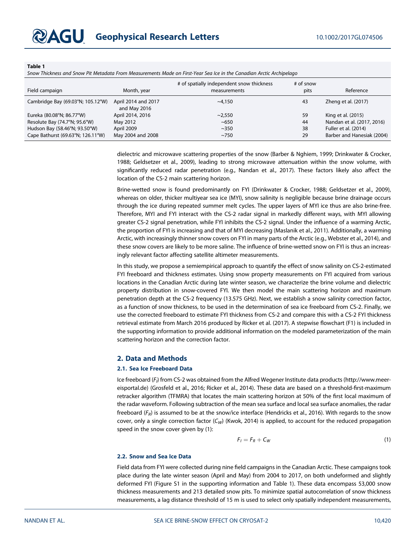#### Table 1

Snow Thickness and Snow Pit Metadata From Measurements Made on First-Year Sea Ice in the Canadian Arctic Archipelago

| Field campaign                                                     | Month, year                         | # of spatially independent snow thickness<br>measurements | $#$ of snow<br>pits | Reference                                          |
|--------------------------------------------------------------------|-------------------------------------|-----------------------------------------------------------|---------------------|----------------------------------------------------|
| Cambridge Bay (69.03°N; 105.12°W)                                  | April 2014 and 2017<br>and May 2016 | ~150                                                      | 43                  | Zheng et al. (2017)                                |
| Eureka (80.08°N; 86.77°W)                                          | April 2014, 2016                    | ~2.550                                                    | 59                  | King et al. (2015)                                 |
| Resolute Bay (74.7°N; 95.6°W)                                      | May 2012                            | ~100                                                      | 44                  | Nandan et al. (2017, 2016)                         |
| Hudson Bay (58.46°N; 93.50°W)<br>Cape Bathurst (69.63°N; 126.11°W) | April 2009<br>May 2004 and 2008     | ~1.350<br>$~10^{-750}$                                    | 38<br>29            | Fuller et al. (2014)<br>Barber and Hanesiak (2004) |

dielectric and microwave scattering properties of the snow (Barber & Nghiem, 1999; Drinkwater & Crocker, 1988; Geldsetzer et al., 2009), leading to strong microwave attenuation within the snow volume, with significantly reduced radar penetration (e.g., Nandan et al., 2017). These factors likely also affect the location of the CS-2 main scattering horizon.

Brine-wetted snow is found predominantly on FYI (Drinkwater & Crocker, 1988; Geldsetzer et al., 2009), whereas on older, thicker multiyear sea ice (MYI), snow salinity is negligible because brine drainage occurs through the ice during repeated summer melt cycles. The upper layers of MYI ice thus are also brine-free. Therefore, MYI and FYI interact with the CS-2 radar signal in markedly different ways, with MYI allowing greater CS-2 signal penetration, while FYI inhibits the CS-2 signal. Under the influence of a warming Arctic, the proportion of FYI is increasing and that of MYI decreasing (Maslanik et al., 2011). Additionally, a warming Arctic, with increasingly thinner snow covers on FYI in many parts of the Arctic (e.g., Webster et al., 2014), and these snow covers are likely to be more saline. The influence of brine-wetted snow on FYI is thus an increasingly relevant factor affecting satellite altimeter measurements.

In this study, we propose a semiempirical approach to quantify the effect of snow salinity on CS-2-estimated FYI freeboard and thickness estimates. Using snow property measurements on FYI acquired from various locations in the Canadian Arctic during late winter season, we characterize the brine volume and dielectric property distribution in snow-covered FYI. We then model the main scattering horizon and maximum penetration depth at the CS-2 frequency (13.575 GHz). Next, we establish a snow salinity correction factor, as a function of snow thickness, to be used in the determination of sea ice freeboard from CS-2. Finally, we use the corrected freeboard to estimate FYI thickness from CS-2 and compare this with a CS-2 FYI thickness retrieval estimate from March 2016 produced by Ricker et al. (2017). A stepwise flowchart (F1) is included in the supporting information to provide additional information on the modeled parameterization of the main scattering horizon and the correction factor.

#### 2. Data and Methods

#### 2.1. Sea Ice Freeboard Data

Ice freeboard ( $F_{l}$ ) from CS-2 was obtained from the Alfred Wegener Institute data products [\(http://www.meer](http://www.meereisportal.de)[eisportal.de](http://www.meereisportal.de)) (Grosfeld et al., 2016; Ricker et al., 2014). These data are based on a threshold-first-maximum retracker algorithm (TFMRA) that locates the main scattering horizon at 50% of the first local maximum of the radar waveform. Following subtraction of the mean sea surface and local sea surface anomalies, the radar freeboard ( $F_R$ ) is assumed to be at the snow/ice interface (Hendricks et al., 2016). With regards to the snow cover, only a single correction factor  $(C_W)$  (Kwok, 2014) is applied, to account for the reduced propagation speed in the snow cover given by (1):

$$
F_I = F_R + C_W \tag{1}
$$

#### 2.2. Snow and Sea Ice Data

Field data from FYI were collected during nine field campaigns in the Canadian Arctic. These campaigns took place during the late winter season (April and May) from 2004 to 2017, on both undeformed and slightly deformed FYI (Figure S1 in the supporting information and Table 1). These data encompass 53,000 snow thickness measurements and 213 detailed snow pits. To minimize spatial autocorrelation of snow thickness measurements, a lag distance threshold of 15 m is used to select only spatially independent measurements,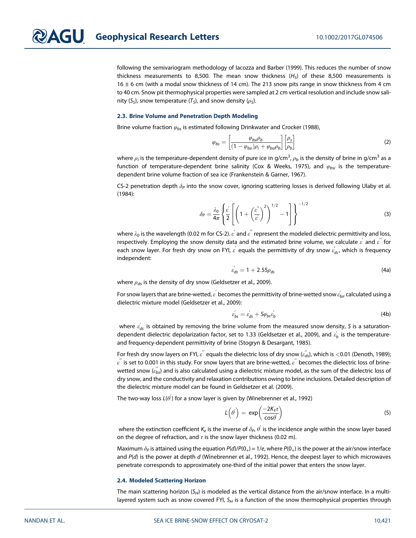following the semivariogram methodology of Iacozza and Barber (1999). This reduces the number of snow thickness measurements to 8,500. The mean snow thickness  $(H<sub>S</sub>)$  of these 8,500 measurements is 16  $\pm$  6 cm (with a modal snow thickness of 14 cm). The 213 snow pits range in snow thickness from 4 cm to 40 cm. Snow pit thermophysical properties were sampled at 2 cm vertical resolution and include snow salinity (S<sub>S</sub>), snow temperature (T<sub>S</sub>), and snow density ( $\rho$ <sub>S</sub>).

#### 2.3. Brine Volume and Penetration Depth Modeling

Brine volume fraction  $\varphi_{bs}$  is estimated following Drinkwater and Crocker (1988),

$$
\varphi_{bs} = \left[\frac{\varphi_{bsi}\rho_b}{(1 - \varphi_{bsi})\rho_i + \varphi_{bsi}\rho_b}\right] \left[\frac{\rho_s}{\rho_b}\right]
$$
(2)

where  $\rho_i$  is the temperature-dependent density of pure ice in g/cm $^3$ ,  $\rho_b$  is the density of brine in g/cm $^3$  as a function of temperature-dependent brine salinity (Cox & Weeks, 1975), and  $\varphi_{bsi}$  is the temperaturedependent brine volume fraction of sea ice (Frankenstein & Garner, 1967).

CS-2 penetration depth  $\delta_P$  into the snow cover, ignoring scattering losses is derived following Ulaby et al. (1984):

$$
\delta_P = \frac{\lambda_0}{4\pi} \left\{ \frac{\varepsilon'}{2} \left[ \left( 1 + \left( \frac{\varepsilon''}{\varepsilon'} \right)^2 \right)^{1/2} - 1 \right] \right\}^{-1/2} \tag{3}
$$

where  $\lambda_0$  is the wavelength (0.02 m for CS-2).  $\varepsilon^{'}$  and  $\varepsilon^{''}$  represent the modeled dielectric permittivity and loss, respectively. Employing the snow density data and the estimated brine volume, we calculate  $\varepsilon^{'}$  and  $\varepsilon^{''}$  for each snow layer. For fresh dry snow on FYI,  $\varepsilon^{'}$  equals the permittivity of dry snow  $\varepsilon^{'}_{ds}$ , which is frequency independent:

$$
\varepsilon'_{ds} = 1 + 2.55 \rho_{ds} \tag{4a}
$$

where  $\rho_{ds}$  is the density of dry snow (Geldsetzer et al., 2009).

For snow layers that are brine-wetted,  $\varepsilon^{'}$  becomes the permittivity of brine-wetted snow  $\varepsilon^{'}_{bs'}$  calculated using a dielectric mixture model (Geldsetzer et al., 2009):

$$
\varepsilon'_{bs} = \varepsilon'_{ds} + \mathsf{S}\varphi_{bs}\varepsilon'_{b} \tag{4b}
$$

where  $\varepsilon_{\sf ds}'$  is obtained by removing the brine volume from the measured snow density, S is a saturationdependent dielectric depolarization factor, set to 1.33 (Geldsetzer et al., 2009), and  $\varepsilon_{b}^{'}$  is the temperatureand frequency-dependent permittivity of brine (Stogryn & Desargant, 1985).

For fresh dry snow layers on FYI,  $\varepsilon^{''}$  equals the dielectric loss of dry snow  $(\varepsilon^{''}_{ds})$ , which is  $<$ 0.01 (Denoth, 1989);  $\varepsilon^{''}$  is set to 0.001 in this study. For snow layers that are brine-wetted,  $\varepsilon^{''}$  becomes the dielectric loss of brinewetted snow ( $\epsilon_{bs}^{''}$ ) and is also calculated using a dielectric mixture model, as the sum of the dielectric loss of dry snow, and the conductivity and relaxation contributions owing to brine inclusions. Detailed description of the dielectric mixture model can be found in Geldsetzer et al. (2009).

The two-way loss L( $\theta^{'}$ ) for a snow layer is given by (Winebrenner et al., 1992)

$$
L(\theta') = \exp\left(\frac{-2K_e\tau}{\cos\theta'}\right) \tag{5}
$$

where the extinction coefficient  $K_e$  is the inverse of  $\delta_P$ ,  $\theta^{'}$  is the incidence angle within the snow layer based on the degree of refraction, and  $\tau$  is the snow layer thickness (0.02 m).

Maximum  $\delta_P$  is attained using the equation  $P(d)/P(0_+) = 1/e$ , where  $P(0_+)$  is the power at the air/snow interface and  $P(d)$  is the power at depth d (Winebrenner et al., 1992). Hence, the deepest layer to which microwaves penetrate corresponds to approximately one-third of the initial power that enters the snow layer.

#### 2.4. Modeled Scattering Horizon

The main scattering horizon ( $S_H$ ) is modeled as the vertical distance from the air/snow interface. In a multilayered system such as snow covered FYI,  $S_H$  is a function of the snow thermophysical properties through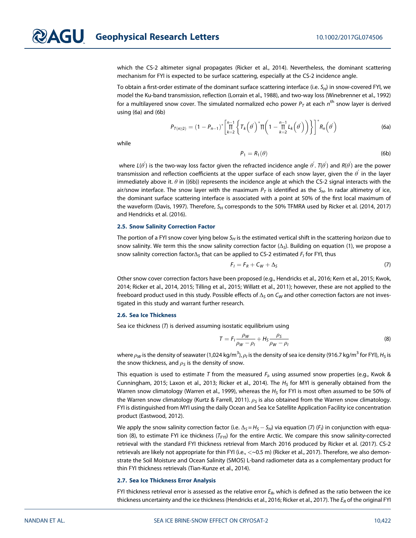which the CS-2 altimeter signal propagates (Ricker et al., 2014). Nevertheless, the dominant scattering mechanism for FYI is expected to be surface scattering, especially at the CS-2 incidence angle.

To obtain a first-order estimate of the dominant surface scattering interface (i.e.  $S_H$ ) in snow-covered FYI, we model the Ku-band transmission, reflection (Lorrain et al., 1988), and two-way loss (Winebrenner et al., 1992) for a multilayered snow cover. The simulated normalized echo power  $P<sub>T</sub>$  at each  $n<sup>th</sup>$  snow layer is derived using (6a) and (6b)

$$
P_{T(n \ge 2)} = (1 - P_{n-1})^* \left[ \prod_{k=2}^{n-1} \left\{ T_k \left( \theta' \right)^* \Pi \left( 1 - \prod_{k=2}^{n-1} L_k \left( \theta' \right) \right) \right\} \right]^* R_n \left( \theta' \right) \tag{6a}
$$

while

$$
P_1 = R_1(\theta) \tag{6b}
$$

where L( $\theta^{'}$ ) is the two-way loss factor given the refracted incidence angle  $\theta^{'}$ . T( $\theta^{'}$ ) and R( $\theta^{'}$ ) are the power transmission and reflection coefficients at the upper surface of each snow layer, given the  $\theta^{'}$  in the layer immediately above it.  $\theta$  in ((6b)) represents the incidence angle at which the CS-2 signal interacts with the air/snow interface. The snow layer with the maximum  $P_T$  is identified as the  $S_H$ . In radar altimetry of ice, the dominant surface scattering interface is associated with a point at 50% of the first local maximum of the waveform (Davis, 1997). Therefore,  $S_H$  corresponds to the 50% TFMRA used by Ricker et al. (2014, 2017) and Hendricks et al. (2016).

#### 2.5. Snow Salinity Correction Factor

The portion of a FYI snow cover lying below  $S_H$  is the estimated vertical shift in the scattering horizon due to snow salinity. We term this the snow salinity correction factor  $(\Delta_S)$ . Building on equation (1), we propose a snow salinity correction factor $\Delta_S$  that can be applied to CS-2 estimated  $F_I$  for FYI, thus

$$
F_I = F_R + C_W + \Delta_S \tag{7}
$$

Other snow cover correction factors have been proposed (e.g., Hendricks et al., 2016; Kern et al., 2015; Kwok, 2014; Ricker et al., 2014, 2015; Tilling et al., 2015; Willatt et al., 2011); however, these are not applied to the freeboard product used in this study. Possible effects of  $\Delta_S$  on C<sub>W</sub> and other correction factors are not investigated in this study and warrant further research.

#### 2.6. Sea Ice Thickness

Sea ice thickness (T) is derived assuming isostatic equilibrium using

$$
T = F_l \frac{\rho_W}{\rho_W - \rho_l} + H_S \frac{\rho_S}{\rho_W - \rho_l} \tag{8}
$$

where  $\rho_W$  is the density of seawater (1,024 kg/m $^3$ ),  $\rho_I$  is the density of sea ice density (916.7 kg/m $^3$  for FYI),  $H_S$  is the snow thickness, and  $\rho_S$  is the density of snow.

This equation is used to estimate T from the measured  $F_h$  using assumed snow properties (e.g., Kwok & Cunningham, 2015; Laxon et al., 2013; Ricker et al., 2014). The  $H<sub>S</sub>$  for MYI is generally obtained from the Warren snow climatology (Warren et al., 1999), whereas the  $H<sub>S</sub>$  for FYI is most often assumed to be 50% of the Warren snow climatology (Kurtz & Farrell, 2011).  $\rho_s$  is also obtained from the Warren snow climatology. FYI is distinguished from MYI using the daily Ocean and Sea Ice Satellite Application Facility ice concentration product (Eastwood, 2012).

We apply the snow salinity correction factor (i.e.  $\Delta_S = H_S - S_H$ ) via equation (7) (F<sub>i</sub>) in conjunction with equation (8), to estimate FYI ice thickness ( $T_{FY1}$ ) for the entire Arctic. We compare this snow salinity-corrected retrieval with the standard FYI thickness retrieval from March 2016 produced by Ricker et al. (2017). CS-2 retrievals are likely not appropriate for thin FYI (i.e., <~0.5 m) (Ricker et al., 2017). Therefore, we also demonstrate the Soil Moisture and Ocean Salinity (SMOS) L-band radiometer data as a complementary product for thin FYI thickness retrievals (Tian-Kunze et al., 2014).

#### 2.7. Sea Ice Thickness Error Analysis

FYI thickness retrieval error is assessed as the relative error  $E_R$ , which is defined as the ratio between the ice thickness uncertainty and the ice thickness (Hendricks et al., 2016; Ricker et al., 2017). The  $E_R$  of the original FYI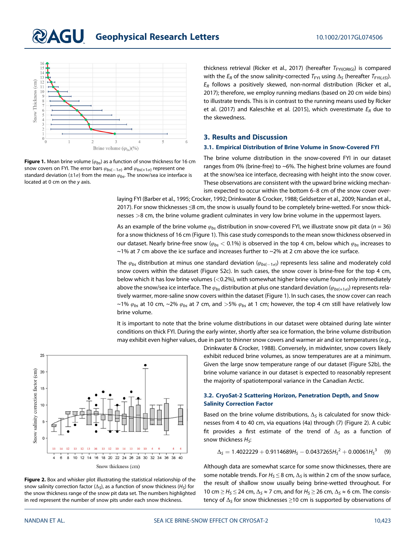## **QAGU** Geophysical Research Letters 10.1002/2017GL074506



Figure 1. Mean brine volume ( $\varphi_{bs}$ ) as a function of snow thickness for 16 cm snow covers on FYI. The error bars  $\varphi_{bs(-1\sigma)}$  and  $\varphi_{bs(+1\sigma)}$  represent one standard deviation ( $\pm 1\sigma$ ) from the mean  $\varphi_{bs}$ . The snow/sea ice interface is located at 0 cm on the y axis.

thickness retrieval (Ricker et al., 2017) (hereafter  $T_{\text{FYI(ORIG)}}$ ) is compared with the  $E_R$  of the snow salinity-corrected  $T_{FYI}$  using  $\Delta_S$  (hereafter  $T_{FYI(AB)}$ ).  $E_R$  follows a positively skewed, non-normal distribution (Ricker et al., 2017); therefore, we employ running medians (based on 20 cm wide bins) to illustrate trends. This is in contrast to the running means used by Ricker et al. (2017) and Kaleschke et al. (2015), which overestimate  $E_R$  due to the skewedness.

#### 3. Results and Discussion

#### 3.1. Empirical Distribution of Brine Volume in Snow-Covered FYI

The brine volume distribution in the snow-covered FYI in our dataset ranges from 0% (brine-free) to ~6%. The highest brine volumes are found at the snow/sea ice interface, decreasing with height into the snow cover. These observations are consistent with the upward brine wicking mechanism expected to occur within the bottom 6–8 cm of the snow cover over-

laying FYI (Barber et al., 1995; Crocker, 1992; Drinkwater & Crocker, 1988; Geldsetzer et al., 2009; Nandan et al., 2017). For snow thicknesses ≤8 cm, the snow is usually found to be completely brine-wetted. For snow thicknesses >8 cm, the brine volume gradient culminates in very low brine volume in the uppermost layers.

As an example of the brine volume  $\varphi_{bs}$  distribution in snow-covered FYI, we illustrate snow pit data (n = 36) for a snow thickness of 16 cm (Figure 1). This case study corresponds to the mean snow thickness observed in our dataset. Nearly brine-free snow ( $\varphi_{bs}$  < 0.1%) is observed in the top 4 cm, below which  $\varphi_{bs}$  increases to  $\sim$ 1% at 7 cm above the ice surface and increases further to  $\sim$ 2% at 2 cm above the ice surface.

The  $\varphi_{bs}$  distribution at minus one standard deviation  $(\varphi_{bs(-1\sigma)})$  represents less saline and moderately cold snow covers within the dataset (Figure S2c). In such cases, the snow cover is brine-free for the top 4 cm, below which it has low brine volumes (<0.2%), with somewhat higher brine volume found only immediately above the snow/sea ice interface. The  $\varphi_{bs}$  distribution at plus one standard deviation ( $\varphi_{bs(+1\sigma)}$ ) represents relatively warmer, more-saline snow covers within the dataset (Figure 1). In such cases, the snow cover can reach ~1%  $\varphi_{bs}$  at 10 cm, ~2%  $\varphi_{bs}$  at 7 cm, and >5%  $\varphi_{bs}$  at 1 cm; however, the top 4 cm still have relatively low brine volume.

It is important to note that the brine volume distributions in our dataset were obtained during late winter conditions on thick FYI. During the early winter, shortly after sea ice formation, the brine volume distribution may exhibit even higher values, due in part to thinner snow covers and warmer air and ice temperatures (e.g.,





Drinkwater & Crocker, 1988). Conversely, in midwinter, snow covers likely exhibit reduced brine volumes, as snow temperatures are at a minimum. Given the large snow temperature range of our dataset (Figure S2b), the brine volume variance in our dataset is expected to reasonably represent the majority of spatiotemporal variance in the Canadian Arctic.

#### 3.2. CryoSat-2 Scattering Horizon, Penetration Depth, and Snow Salinity Correction Factor

Based on the brine volume distributions,  $\Delta_S$  is calculated for snow thicknesses from 4 to 40 cm, via equations (4a) through (7) (Figure 2). A cubic fit provides a first estimate of the trend of  $\Delta_S$  as a function of snow thickness  $H_{\varsigma}$ :

$$
\Delta_{\mathsf{S}} = 1.4022229 + 0.9114689H_{\mathsf{S}} - 0.0437265H_{\mathsf{S}}^2 + 0.00061H_{\mathsf{S}}^3 \quad (9)
$$

Although data are somewhat scarce for some snow thicknesses, there are some notable trends. For  $H_S \leq 8$  cm,  $\Delta_S$  is within 2 cm of the snow surface, the result of shallow snow usually being brine-wetted throughout. For 10 cm  $\geq$  H<sub>S</sub>  $\leq$  24 cm,  $\Delta$ <sub>S</sub>  $\approx$  7 cm, and for H<sub>S</sub>  $\geq$  26 cm,  $\Delta$ <sub>S</sub>  $\approx$  6 cm. The consistency of  $\Delta_S$  for snow thicknesses  $\geq 10$  cm is supported by observations of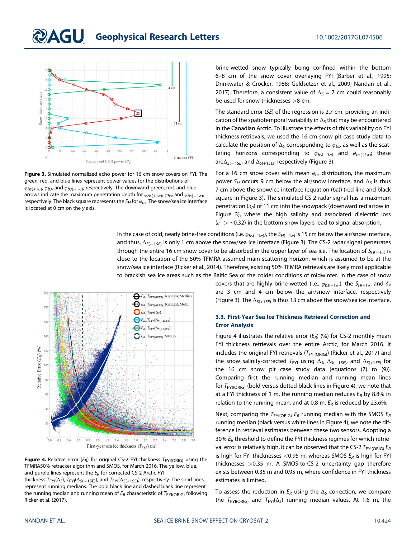## **QAGU** Geophysical Research Letters 10.1002/2017GL074506



Figure 3. Simulated normalized echo power for 16 cm snow covers on FYI. The green, red, and blue lines represent power values for the distributions of  $\varphi_{bs(+1\sigma)}$ ,  $\varphi_{bs}$ , and  $\varphi_{bs(-1\sigma)}$ , respectively. The downward green, red, and blue arrows indicate the maximum penetration depth for  $\varphi_{bs(+1\sigma)}$ ,  $\varphi_{bs}$  and  $\varphi_{bs(-1\sigma)}$ , respectively. The black square represents the  $S_H$  for  $\varphi_{bs}$ . The snow/sea ice interface is located at 0 cm on the y axis.

brine-wetted snow typically being confined within the bottom 6–8 cm of the snow cover overlaying FYI (Barber et al., 1995; Drinkwater & Crocker, 1988; Geldsetzer et al., 2009; Nandan et al., 2017). Therefore, a consistent value of  $\Delta_s = 7$  cm could reasonably be used for snow thicknesses >8 cm.

The standard error (SE) of the regression is 2.7 cm, providing an indication of the spatiotemporal variability in  $\Delta_{\varsigma}$  that may be encountered in the Canadian Arctic. To illustrate the effects of this variability on FYI thickness retrievals, we used the 16 cm snow pit case study data to calculate the position of  $\Delta_S$  corresponding to  $\varphi_{bs}$  as well as the scattering horizons corresponding to  $\varphi_{bs(-1\sigma)}$  and  $\varphi_{bs(+1\sigma)}$ ; these are $\Delta_{\mathcal{S}(-15E)}$  and  $\Delta_{\mathcal{S}(+15E)}$ , respectively (Figure 3).

For a 16 cm snow cover with mean  $\varphi_{bs}$  distribution, the maximum power S<sub>H</sub> occurs 9 cm below the air/snow interface, and  $\Delta_S$  is thus 7 cm above the snow/ice interface (equation (6a)) (red line and black square in Figure 3). The simulated CS-2 radar signal has a maximum penetration  $(\delta_P)$  of 11 cm into the snowpack (downward red arrow in Figure 3), where the high salinity and associated dielectric loss ( $\varepsilon^{''}>$  ~0.32) in the bottom snow layers lead to signal absorption.

In the case of cold, nearly brine-free conditions (i.e.  $\varphi_{bs(-1\sigma)}$ ), the  $S_{H(-1\sigma)}$  is 15 cm below the air/snow interface, and thus,  $\Delta_{S(-1SE)}$  is only 1 cm above the snow/sea ice interface (Figure 3). The CS-2 radar signal penetrates through the entire 16 cm snow cover to be absorbed in the upper layer of sea ice. The location of  $S_{H(-1\sigma)}$  is close to the location of the 50% TFMRA-assumed main scattering horizon, which is assumed to be at the snow/sea ice interface (Ricker et al., 2014). Therefore, existing 50% TFMRA retrievals are likely most applicable to brackish sea ice areas such as the Baltic Sea or the colder conditions of midwinter. In the case of snow

 $\bigoplus E_{R}\_T_{FYI(ORIG)}\_$ Running Median  $\bigodot E_R \_T_{FYI(ORIG)} \_$ Running Mean  $E_{R}$ <sub>*F<sub>FYI</sub>*( $\Delta_S$ )</sub>  $E_R$ <sub>*FYI*</sub> $(\Delta_{S(-1SE)})$ 160  $E_{R}$ <sub>*F<sub>FYI</sub>*( $\Delta$ <sub>S(+1SE)</sub>)</sub>  $\sum E_R$ <sub>FYI(ORIG)</sub>\_SMOS  $140$ Relative Error  $(E_R)$   $(^{96})$  $120$  $100$  $^{0.0}_{0.0}$  $0.2$  $0.4$  $0.6$  $0.8$ 1.2 1.4 1.6 1.8 2.0 2.2  $2.4$ 2.6  $1.0$ First-year sea ice thickness  $(T_{FYI})$  (m)

Figure 4. Relative error  $(E_R)$  for original CS-2 FYI thickness  $T_{FYI(ORIG)}$  using the TFMRA50% retracker algorithm and SMOS, for March 2016. The yellow, blue, and purple lines represent the  $E_R$  for corrected CS-2 Arctic FYI

thickness  $T_{\text{FYI}}(\Delta_S)$ ,  $T_{\text{FYI}}(\Delta_{S(-15E)})$ , and  $T_{\text{FYI}}(\Delta_{S(+15E)})$ , respectively. The solid lines represent running medians. The bold black line and dashed black line represent the running median and running mean of  $E_R$  characteristic of  $T_{FYI(ORIG)}$  following Ricker et al. (2017).

covers that are highly brine-wetted (i.e.,  $\varphi_{bs(+1\sigma)}$ ), the  $S_{H(+1\sigma)}$  and  $\delta_P$ are 3 cm and 4 cm below the air/snow interface, respectively (Figure 3). The  $\Delta_{S(+15F)}$  is thus 13 cm above the snow/sea ice interface.

#### 3.3. First-Year Sea Ice Thickness Retrieval Correction and Error Analysis

Figure 4 illustrates the relative error  $(E_R)$  (%) for CS-2 monthly mean FYI thickness retrievals over the entire Arctic, for March 2016. It includes the original FYI retrievals ( $T_{\text{FYI(ORIG)}}$ ) (Ricker et al., 2017) and the snow salinity-corrected  $T_{\sf FYI}$  using  $\Delta_{\sf S, \Delta_{\sf S(-1 \sf S E)}}$  and  $\Delta_{\sf S(+1 \sf S E)}$  for the 16 cm snow pit case study data (equations (7) to (9)). Comparing first the running median and running mean lines for  $T_{\text{FYICRIG)}}$  (bold versus dotted black lines in Figure 4), we note that at a FYI thickness of 1 m, the running median reduces  $E_R$  by 8.8% in relation to the running mean, and at 0.8 m,  $E_R$  is reduced by 23.6%.

Next, comparing the  $T_{FYI(ORIG)} E_R$  running median with the SMOS  $E_R$ running median (black versus white lines in Figure 4), we note the difference in retrieval estimates between these two sensors. Adopting a 30%  $E_R$  threshold to define the FYI thickness regimes for which retrieval error is relatively high, it can be observed that the CS-2  $T_{FYI(ORIG)} E_R$ is high for FYI thicknesses <0.95 m, whereas SMOS  $E_R$  is high for FYI thicknesses >0.35 m. A SMOS-to-CS-2 uncertainty gap therefore exists between 0.35 m and 0.95 m, where confidence in FYI thickness estimates is limited.

To assess the reduction in  $E_R$  using the  $\Delta_S$  correction, we compare the  $T_{FYI(OR)G}$  and  $T_{FYI}(\Delta_S)$  running median values. At 1.6 m, the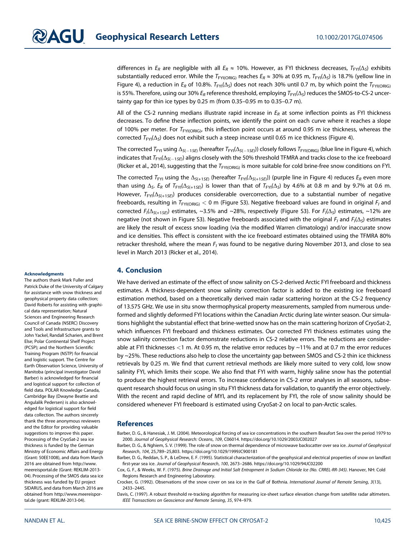differences in  $E_R$  are negligible with all  $E_R \approx 10\%$ . However, as FYI thickness decreases,  $T_{FY}(\Delta_S)$  exhibits substantially reduced error. While the  $T_{FYI(ORIG)}$  reaches  $E_R \approx 30\%$  at 0.95 m,  $T_{FYI}(\Delta_S)$  is 18.7% (yellow line in Figure 4), a reduction in  $E_R$  of 10.8%.  $T_{FYI}(\Delta_S)$  does not reach 30% until 0.7 m, by which point the  $T_{FYI(ORIG)}$ is 55%. Therefore, using our 30%  $E_R$  reference threshold, employing  $T_{FYI}(\Delta_S)$  reduces the SMOS-to-CS-2 uncertainty gap for thin ice types by 0.25 m (from 0.35–0.95 m to 0.35–0.7 m).

All of the CS-2 running medians illustrate rapid increase in  $E_R$  at some inflection points as FYI thickness decreases. To define these inflection points, we identify the point on each curve where it reaches a slope of 100% per meter. For  $T_{FYI(ORIG)}$ , this inflection point occurs at around 0.95 m ice thickness, whereas the corrected  $T_{FY}(\Delta_S)$  does not exhibit such a steep increase until 0.65 m ice thickness (Figure 4).

The corrected  $T_{\sf FYI}$  using  $\Delta_{\sf S(-1SE)}$  (hereafter  $T_{\sf FYI}(\Delta_{\sf S(-1SE)})$ ) closely follows  $T_{\sf FYI(ORIG)}$  (blue line in Figure 4), which indicates that  $T_{\sf FYl}(\Delta_{S(-15E)})$  aligns closely with the 50% threshold TFMRA and tracks close to the ice freeboard (Ricker et al., 2014), suggesting that the  $T_{FYI(OR|G)}$  is more suitable for cold brine-free snow conditions on FYI.

The corrected  $T_{FY1}$  using the  $\Delta_{S(+15E)}$  (hereafter  $T_{FY1}(\Delta_{S(+15E)})$ ) (purple line in Figure 4) reduces  $E_R$  even more than using  $\Delta_S$ . E<sub>R</sub> of T<sub>FYI</sub>( $\Delta_{S(+15E)}$ ) is lower than that of T<sub>FYI</sub>( $\Delta_S$ ) by 4.6% at 0.8 m and by 9.7% at 0.6 m. However,  $T_{FYI}(\Delta_{S(+15E)})$  produces considerable overcorrection, due to a substantial number of negative freeboards, resulting in  $T_{FYI(ORIG)} < 0$  m (Figure S3). Negative freeboard values are found in original  $F_I$  and corrected  $F_l(\Delta_{S(+15E)})$  estimates, ~3.5% and ~28%, respectively (Figure S3). For  $F_l(\Delta_S)$  estimates, ~12% are negative (not shown in Figure S3). Negative freeboards associated with the original  $F_I$  and  $F_I(\Delta_S)$  estimates are likely the result of excess snow loading (via the modified Warren climatology) and/or inaccurate snow and ice densities. This effect is consistent with the ice freeboard estimates obtained using the TFMRA 80% retracker threshold, where the mean  $F<sub>l</sub>$  was found to be negative during November 2013, and close to sea level in March 2013 (Ricker et al., 2014).

#### 4. Conclusion

We have derived an estimate of the effect of snow salinity on CS-2-derived Arctic FYI freeboard and thickness estimates. A thickness-dependent snow salinity correction factor is added to the existing ice freeboard estimation method, based on a theoretically derived main radar scattering horizon at the CS-2 frequency of 13.575 GHz. We use in situ snow thermophysical property measurements, sampled from numerous undeformed and slightly deformed FYI locations within the Canadian Arctic during late winter season. Our simulations highlight the substantial effect that brine-wetted snow has on the main scattering horizon of CryoSat-2, which influences FYI freeboard and thickness estimates. Our corrected FYI thickness estimates using the snow salinity correction factor demonstrate reductions in CS-2 relative errors. The reductions are considerable at FYI thicknesses <1 m. At 0.95 m, the relative error reduces by ~11% and at 0.7 m the error reduces by ~25%. These reductions also help to close the uncertainty gap between SMOS and CS-2 thin ice thickness retrievals by 0.25 m. We find that current retrieval methods are likely more suited to very cold, low snow salinity FYI, which limits their scope. We also find that FYI with warm, highly saline snow has the potential to produce the highest retrieval errors. To increase confidence in CS-2 error analyses in all seasons, subsequent research should focus on using in situ FYI thickness data for validation, to quantify the error objectively. With the recent and rapid decline of MYI, and its replacement by FYI, the role of snow salinity should be considered whenever FYI freeboard is estimated using CryoSat-2 on local to pan-Arctic scales.

#### References

Barber, D. G., & Hanesiak, J. M. (2004). Meteorological forcing of sea ice concentrations in the southern Beaufort Sea over the period 1979 to 2000. Journal of Geophysical Research: Oceans, 109, C06014.<https://doi.org/10.1029/2003JC002027>

Barber, D. G., & Nghiem, S. V. (1999). The role of snow on thermal dependence of microwave backscatter over sea ice. Journal of Geophysical Research, 104, 25,789–25,803.<https://doi.org/10.1029/1999JC900181>

Barber, D. G., Reddan, S. P., & LeDrew, E. F. (1995). Statistical characterization of the geophysical and electrical properties of snow on landfast first-year sea ice. Journal of Geophysical Research, 100, 2673–2686.<https://doi.org/10.1029/94JC02200>

Cox, G. F., & Weeks, W. F. (1975). Brine Drainage and Initial Salt Entrapment in Sodium Chloride Ice (No. CRREL-RR-345). Hanover, NH: Cold Regions Research and Engineering Laboratory.

Crocker, G. (1992). Observations of the snow cover on sea ice in the Gulf of Bothnia. International Journal of Remote Sensing, 3(13), 2433–2445.

Davis, C. (1997). A robust threshold re-tracking algorithm for measuring ice-sheet surface elevation change from satellite radar altimeters. IEEE Transactions on Geoscience and Remote Sensing, 35, 974–979.

#### Acknowledgments

The authors thank Mark Fuller and Patrick Duke of the University of Calgary for assistance with snow thickness and geophysical property data collection; David Roberts for assisting with graphical data representation; Natural Sciences and Engineering Research Council of Canada (NSERC) Discovery and Tools and Infrastructure grants to John Yackel, Randall Scharien, and Brent Else; Polar Continental Shelf Project (PCSP); and the Northern Scientific Training Program (NSTP) for financial and logistic support. The Centre for Earth Observation Science, University of Manitoba (principal investigator David Barber) is acknowledged for financial and logistical support for collection of field data. POLAR Knowledge Canada, Cambridge Bay (Dwayne Beattie and Angulalik Pedersen) is also acknowledged for logistical support for field data collection. The authors sincerely thank the three anonymous reviewers and the Editor for providing valuable suggestions to improve this paper. Processing of the CryoSat-2 sea ice thickness is funded by the German Ministry of Economic Affairs and Energy (Grant: 50EE1008), and data from March 2016 are obtained from [http://www.](http://www.meereisportal.de) [meereisportal.de](http://www.meereisportal.de) (Grant: REKLIM-2013- 04). Processing of the SMOS data sea ice thickness was funded by EU project SIDARUS, and data from March 2016 are obtained from [http://www.meereispor](http://www.meereisportal.de)[tal.de](http://www.meereisportal.de) (grant: REKLIM-2013-04).